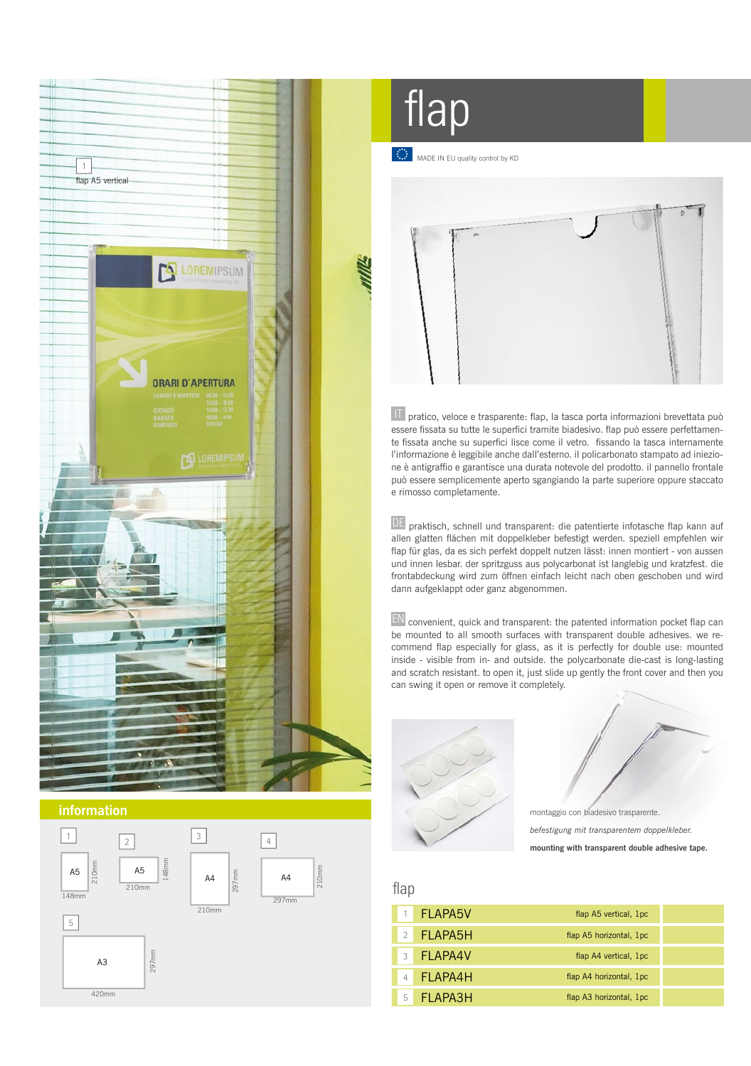



flap

MADE IN EU quality control by KD



 $\overline{11}$  pratico, veloce e trasparente: flap, la tasca porta informazioni brevettata può essere fissata su tutte le superfici tramite biadesivo. flap può essere perfettamente fissata anche su superfici lisce come il vetro. fissando la tasca internamente l'informazione è leggibile anche dall'esterno. il policarbonato stampato ad iniezione è antigraffio e garantisce una durata notevole del prodotto. il pannello frontale può essere semplicemente aperto sgangiando la parte superiore oppure staccato e rimosso completamente.

DE praktisch, schnell und transparent: die patentierte infotasche flap kann auf allen glatten flächen mit doppelkleber befestigt werden. speziell empfehlen wir flap für glas, da es sich perfekt doppelt nutzen lässt: innen montiert - von aussen und innen lesbar. der spritzguss aus polycarbonat ist langlebig und kratzfest. die frontabdeckung wird zum öffnen einfach leicht nach oben geschoben und wird dann aufgeklappt oder ganz abgenommen.

EN convenient, quick and transparent: the patented information pocket flap can be mounted to all smooth surfaces with transparent double adhesives. we recommend flap especially for glass, as it is perfectly for double use: mounted inside - visible from in- and outside. the polycarbonate die-cast is long-lasting and scratch resistant. to open it, just slide up gently the front cover and then you can swing it open or remove it completely.





*befestigung mit transparentem doppelkleber.* **mounting with transparent double adhesive tape.**

## flap

| 1 <b>FLAPA5V</b> | flap A5 vertical, 1pc   |  |
|------------------|-------------------------|--|
| 2 FLAPA5H        | flap A5 horizontal, 1pc |  |
| 3 FI APA4V       | flap A4 vertical, 1pc   |  |
| FLAPA4H          | flap A4 horizontal, 1pc |  |
| FI APA3H         | flap A3 horizontal, 1pc |  |